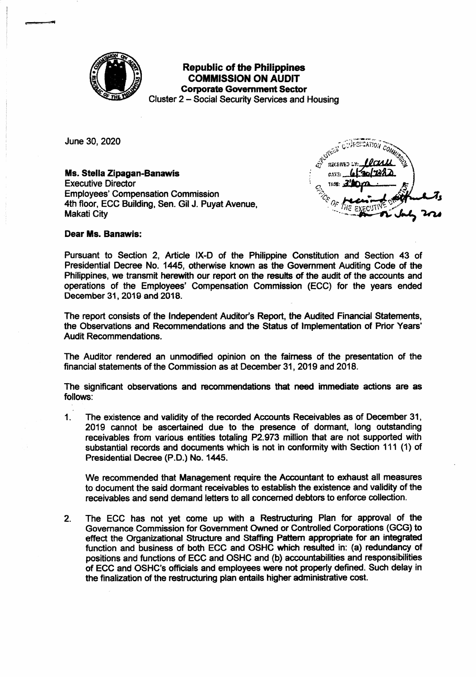

## **Republic of the Philippines COMMISSION ON AUDIT Corporate Government Sector**

Cluster 2 – Social Security Services and Housing

June 30, 2020

Ms. Stella Zipagan-Banawis **Executive Director Employees' Compensation Commission** 4th floor, ECC Building, Sen. Gil J. Puyat Avenue, **Makati City** 

CATE

**Dear Ms. Banawis:** 

Pursuant to Section 2, Article IX-D of the Philippine Constitution and Section 43 of Presidential Decree No. 1445, otherwise known as the Government Auditing Code of the Philippines, we transmit herewith our report on the results of the audit of the accounts and operations of the Employees' Compensation Commission (ECC) for the years ended December 31, 2019 and 2018.

The report consists of the Independent Auditor's Report, the Audited Financial Statements. the Observations and Recommendations and the Status of Implementation of Prior Years' **Audit Recommendations.** 

The Auditor rendered an unmodified opinion on the fairness of the presentation of the financial statements of the Commission as at December 31, 2019 and 2018.

The significant observations and recommendations that need immediate actions are as follows:

 $1<sup>1</sup>$ The existence and validity of the recorded Accounts Receivables as of December 31, 2019 cannot be ascertained due to the presence of dormant, long outstanding receivables from various entities totaling P2.973 million that are not supported with substantial records and documents which is not in conformity with Section 111 (1) of Presidential Decree (P.D.) No. 1445.

We recommended that Management require the Accountant to exhaust all measures to document the said dormant receivables to establish the existence and validity of the receivables and send demand letters to all concerned debtors to enforce collection.

The ECC has not yet come up with a Restructuring Plan for approval of the  $2.$ Governance Commission for Government Owned or Controlled Corporations (GCG) to effect the Organizational Structure and Staffing Pattern appropriate for an integrated function and business of both ECC and OSHC which resulted in: (a) redundancy of positions and functions of ECC and OSHC and (b) accountabilities and responsibilities of ECC and OSHC's officials and employees were not properly defined. Such delay in the finalization of the restructuring plan entails higher administrative cost.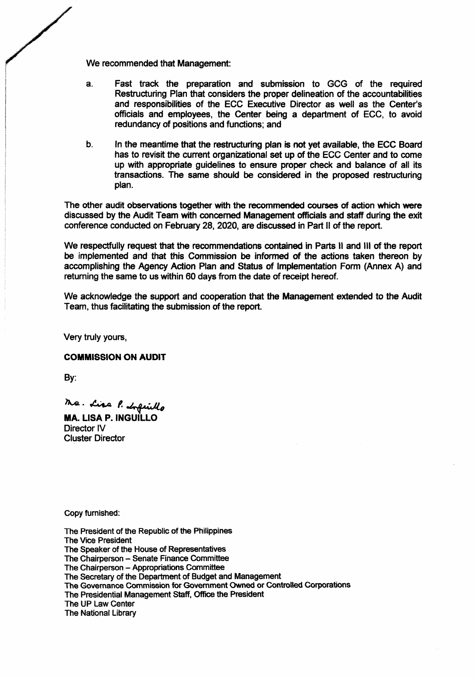We recommended that Management:

- Fast track the preparation and submission to GCG of the required a. Restructuring Plan that considers the proper delineation of the accountabilities and responsibilities of the ECC Executive Director as well as the Center's officials and employees, the Center being a department of ECC, to avoid redundancy of positions and functions; and
- b. In the meantime that the restructuring plan is not yet available, the ECC Board has to revisit the current organizational set up of the ECC Center and to come up with appropriate guidelines to ensure proper check and balance of all its transactions. The same should be considered in the proposed restructuring plan.

The other audit observations together with the recommended courses of action which were discussed by the Audit Team with concerned Management officials and staff during the exit conference conducted on February 28, 2020, are discussed in Part II of the report.

We respectfully request that the recommendations contained in Parts II and III of the report be implemented and that this Commission be informed of the actions taken thereon by accomplishing the Agency Action Plan and Status of Implementation Form (Annex A) and returning the same to us within 60 days from the date of receipt hereof.

We acknowledge the support and cooperation that the Management extended to the Audit Team, thus facilitating the submission of the report.

Very truly yours,

#### **COMMISSION ON AUDIT**

By:

Ma. Lisa P. Infinito

**MA. LISA P. INGUILLO** Director IV **Cluster Director** 

Copy furnished:

The President of the Republic of the Philippines **The Vice President** The Speaker of the House of Representatives The Chairperson - Senate Finance Committee The Chairperson - Appropriations Committee The Secretary of the Department of Budget and Management The Governance Commission for Government Owned or Controlled Corporations The Presidential Management Staff, Office the President The UP Law Center The National Library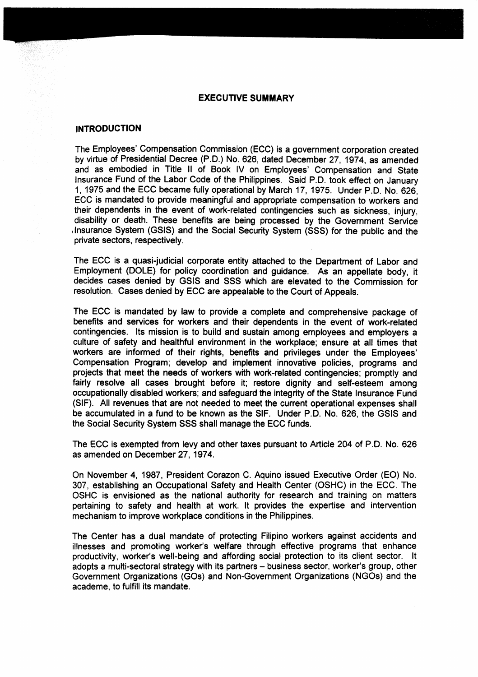#### **EXECUTIVE SUMMARY**

#### **INTRODUCTION**

The Employees' Compensation Commission (ECC) is a government corporation created by virtue of Presidential Decree (P.D.) No. 626, dated December 27,1974, as amended and as embodied in Title ll of Book lV on Employees' Compensation and State lnsurance Fund of the Labor Code of the Philippines. Said P.D. took effect on January 1, 1975 and the ECC became fully operational by March 17 , 1975. Under p.D. No. 626, ECC is mandated to provide meaningful and appropriate compensation to workers and their dependents in the event of work-related contingencies such as sickness, injury, disability or death. These benefits are being processed by the Government Service ,lnsurance System (GSIS) and the Social Security System (SSS) for the public and the private sectors, respectively.

The ECC is a quasi-judicial corporate entity attached to the Department of Labor and Employment (DOLE) for policy coordination and guidance. As an appellate body, it decides cases denied by GSIS and SSS which are elevated to the Commission for resolution. Cases denied by ECC are appealable to the Court of Appeals.

The ECC is mandated by law to provide a complete and comprehensive package of benefits and services for workers and their dependents in the event of work-related contingencies. lts mission is to build and sustain among employees and employers a culture of safety and healthful environment in the workplace; ensure at all times that workers are informed of their rights, benefits and privileges under the Employees' Compensation Program; develop and implement innovative policies, programs and projects that meet the needs of workers with work-related contingencies; promptly and fairly resolve all cases brought before it; restore dignity and self-esteem among occupationally disabled workers; and safeguard the integrity of the State lnsurance Fund (SIF). All revenues that are not needed to meet the current operational expenses shall be accumulated in a fund to be known as the SlF. Under P.D. No. 626, the GSIS and the Social Security System SSS shall manage the ECC funds.

The ECC is exempted from levy and other taxes pursuant to Article 204 of P.D. No. 626 as amended on December 27, 1974.

On November 4, 1987, President Corazon C. Aquino issued Executive Order (EO) No. 307, establishing an Occupational Safety and Health Center (OSHC) in the ECC. The OSHC is envisioned as the national authority for research and training on matters pertaining to safety and health at work. lt provides the expertise and intervention mechanism to improve workplace conditions in the Philippines.

The Center has a dual mandate of protecting Filipino workers against accidents and illnesses and promoting worker's welfare through effective programs that enhance productivity, worker's well-being and affording social protection to its client sector. It adopts a multi-sectoral strategy with its partners - business sector, worker's group, other Government Organizations (GOs) and Non-Govemment Organizations (NGOs) and the academe, to fulfill its mandate.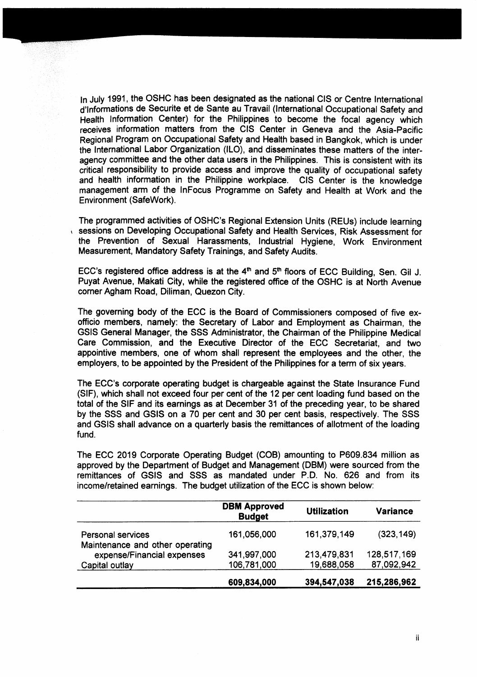ln July 1991, the OSHC has been designated as the national CIS or Centre lnternational d'Informations de Securite et de Sante au Travail (International Occupational Safety and Health lnformation Center) for the Philippines to become the focal agency which receives information matters from the CIS Center in Geneva and the Asia-Pacific Regional Program on Occupational Safety and Health based in Bangkok, which is under the lntemational Labor Organization (lLO), and disseminates these matters of the interagency committee and the other data users in the Philippines. This is consistent with its critical responsibility to provide access and improve the quality of occupational safety and health information in the Philippine workplace. CIS Center is the knowledge management arm of the lnFocus Programme on Safety and Health at Work and the Environment (Safework).

The programmed activities of OSHC's Regional Extension Units (REUs) include learning sessions on Developing Occupational Safety and Health Services, Risk Assessment for the Prevention of Sexual Harassments, lndustrial Hygiene, Work Environment Measurement, Mandatory Safety Trainings, and Safety Audits.

ECC's registered office address is at the  $4<sup>th</sup>$  and  $5<sup>th</sup>$  floors of ECC Building, Sen. Gil J. Puyat Avenue, Makati City, while the registered office of the OSHC is at North Avenue comer Agham Road, Diliman, Quezon City.

The goveming body of the ECC is the Board of Commissioners composed of five exofficio members, namely: the Secretary of Labor and Employment as Chairman, the GSIS General Manager, the SSS Administrator, the Chairman of the Philippine Medical Care Commission, and the Executive Director of the ECC Secretariat, and two appointive members, one of whom shall represent the employees and the other, the employers, to be appointed by the President of the Philippines for a term of six years.

The ECC'S corporate operating budget is chargeable against the State lnsurance Fund (SlF), which shall not exceed four per cent of the 12 per cent loading fund based on the total of the SIF and its earnings as at December 31 of the preceding year, to be shared by the SSS and GSIS on a 70 per cent and 30 per cent basis, respec{ively. The SSS and GSIS shall advance on a quarterly basis the remittances of allotment of the loading fund.

The ECC 2019 Corporate Operating Budget (COB) amounting to P609.834 million as approved by the Department of Budget and Management (DBM) were sourced from the remittances of GSIS and SSS as mandated under P.D. No. 626 and from its income/retained eamings. The budget utilization of the ECC is shown below:

|                                                             | <b>DBM Approved</b><br><b>Budget</b> | <b>Utilization</b> | <b>Variance</b> |
|-------------------------------------------------------------|--------------------------------------|--------------------|-----------------|
| <b>Personal services</b><br>Maintenance and other operating | 161,056,000                          | 161,379,149        | (323, 149)      |
| expense/Financial expenses                                  | 341,997,000                          | 213,479,831        | 128,517,169     |
| Capital outlay                                              | 106,781,000                          | 19,688,058         | 87,092,942      |
|                                                             | 609,834,000                          | 394,547,038        | 215,286,962     |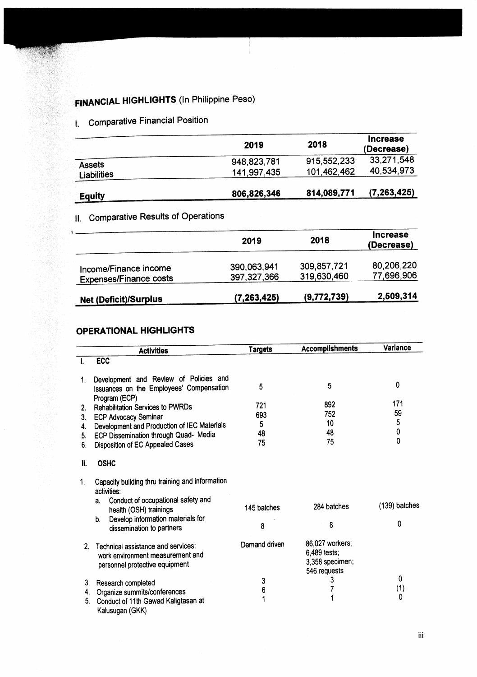# **FINANCIAL HIGHLIGHTS (In Philippine Peso)**

## I. Comparative Financial Position

|                                     | 2019                       | 2018                       | <b>Increase</b><br>(Decrease) |
|-------------------------------------|----------------------------|----------------------------|-------------------------------|
| <b>Assets</b><br><b>Liabilities</b> | 948,823,781<br>141,997,435 | 915,552,233<br>101,462,462 | 33,271,548<br>40,534,973      |
| <b>Equity</b>                       | 806,826,346                | 814,089,771                | (7,263,425)                   |

## **11. Comparative Results of Operations**

|                                                        | 2019                         | 2018                       | <b>Increase</b><br>(Decrease) |
|--------------------------------------------------------|------------------------------|----------------------------|-------------------------------|
| Income/Finance income<br><b>Expenses/Finance costs</b> | 390,063,941<br>397, 327, 366 | 309,857,721<br>319,630,460 | 80,206,220<br>77,696,906      |
| <b>Net (Deficit)/Surplus</b>                           | (7,263,425)                  | (9,772,739)                | 2,509,314                     |

### **OPERATIONAL HIGHLIGHTS**

|    | <b>Activities</b>                                                                                                                    | <b>Targets</b> | <b>Accomplishments</b>                                             | Variance        |
|----|--------------------------------------------------------------------------------------------------------------------------------------|----------------|--------------------------------------------------------------------|-----------------|
|    | <b>ECC</b>                                                                                                                           |                |                                                                    |                 |
|    |                                                                                                                                      |                |                                                                    |                 |
| 1. | Development and Review of Policies and<br>Issuances on the Employees' Compensation                                                   | 5              | 5                                                                  | $\Omega$        |
|    | Program (ECP)                                                                                                                        |                |                                                                    | 171             |
| 2. | <b>Rehabilitation Services to PWRDs</b>                                                                                              | 721            | 892                                                                | 59              |
| 3. | <b>ECP Advocacy Seminar</b>                                                                                                          | 693            | 752                                                                | 5               |
| 4. | Development and Production of IEC Materials                                                                                          | 5              | 10                                                                 | $\mathbf 0$     |
| 5. | ECP Dissemination through Quad- Media                                                                                                | 48             | 48                                                                 | $\mathbf 0$     |
| 6. | Disposition of EC Appealed Cases                                                                                                     | 75             | 75                                                                 |                 |
| H. | <b>OSHC</b>                                                                                                                          |                |                                                                    |                 |
| 1. | Capacity building thru training and information<br>activities:<br>Conduct of occupational safety and<br>a.<br>health (OSH) trainings | 145 batches    | 284 batches                                                        | $(139)$ batches |
|    | Develop information materials for<br>b.<br>dissemination to partners                                                                 | 8              | 8                                                                  | 0               |
| 2. | Technical assistance and services:<br>work environment measurement and<br>personnel protective equipment                             | Demand driven  | 86,027 workers;<br>6,489 tests;<br>3,358 specimen;<br>546 requests |                 |
| 3. | Research completed                                                                                                                   | 3              | 3                                                                  | 0               |
| 4. | Organize summits/conferences                                                                                                         | 6              |                                                                    | (1)             |
| 5. | Conduct of 11th Gawad Kaligtasan at<br>Kalusugan (GKK)                                                                               | 1              |                                                                    | 0               |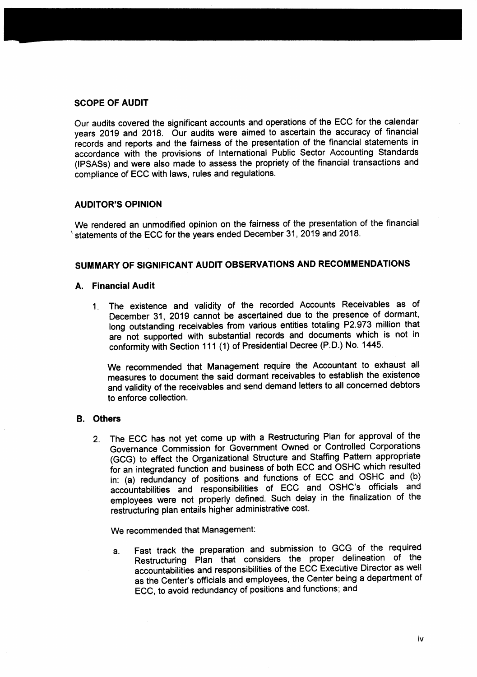#### SCOPE OF AUDIT

Our audits covered the significant accounts and operations of the ECC for the calendar years 2019 and 2018. Our audits were aimed to ascertain the accuracy of financial records and reports and the fairness of the presentation of the financial statements in accordance with the provisions of lnternational Public Sector Accounting Standards (lPSASs) and were also made to assess the propriety of the financial transactions and compliance of ECC with laws, rules and regulations.

#### AUDITOR'S OPINION

We rendered an unmodified opinion on the faimess of the presentation of the financial statements of the ECC for the years ended December 31, 2019 and 2018.

#### SUMMARY OF SIGNIFICANT AUDIT OBSERVATIONS AND RECOMMENDATIONS

#### A. Financial Audit

1. The existence and validity of the recorded Accounts Receivables as of December 31, 2019 cannot be ascertained due to the presence of dormant, long outstanding receivables from various entities totaling P2.973 million that are not supported with substantial records and documents which is not in conformity with Section 111 (1) of Presidential Decree (P.D.) No. 1445.

we recommended that Management require the Accountant to exhaust all measures to document the said dormant receivables to establish the existence and validity of the receivables and send demand letters to all concemed debtors to enforce collection.

#### B, Others

2. The ECC has not yet come up with a Restructuring Plan for approval of the Governance Commission for Government Owned or Controlled Corporations (GCG) to effect the Organizational Structure and Staffing Pattern appropriate for an integrated function and business of both ECC and OSHC which resulted in: (a) redundancy of positions and functions of ECC and OSHC and (b) accountabilities and responsibilities of ECC and osHC's officials and employees were not properly defined. Such delay in the finalization of the restructuring plan entails higher administrative cost.

We recommended that Management:

a. Fast track the preparation and submission to GCG of the required Restructuring Plan that considers the proper delineation of the accountabilities and responsibilities of the ECC Executive Director as well as the Center's officials and employees, the Center being a department of ECC, to avoid redundancy of positions and functions; and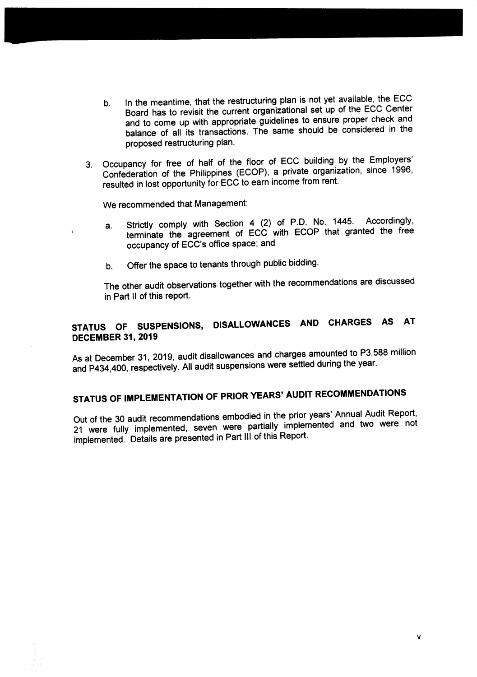- In the meantime, that the restructuring plan is not yet available, the ECC  $b<sub>1</sub>$ Board has to revisit the current organizational set up of the ECC Center and to come up with appropriate guidelines to ensure proper check and balance of all its transactions. The same should be considered in the proposed restructuring plan.
- 3. Occupancy for free of half of the floor of ECC building by the Employers' Confederation of the Philippines (ECOP), a private organization, since 1996, resulted in lost opportunity for ECC to earn income from rent.

We recommended that Management:

- Strictly comply with Section 4 (2) of P.D. No. 1445. Accordingly, a. terminate the agreement of ECC with ECOP that granted the free occupancy of ECC's office space; and
- Offer the space to tenants through public bidding.  $b<sub>1</sub>$

The other audit observations together with the recommendations are discussed in Part II of this report.

## STATUS OF SUSPENSIONS, DISALLOWANCES AND CHARGES AS AT **DECEMBER 31, 2019**

As at December 31, 2019, audit disallowances and charges amounted to P3.588 million and P434,400, respectively. All audit suspensions were settled during the year.

# STATUS OF IMPLEMENTATION OF PRIOR YEARS' AUDIT RECOMMENDATIONS

Out of the 30 audit recommendations embodied in the prior years' Annual Audit Report, 21 were fully implemented, seven were partially implemented and two were not implemented. Details are presented in Part III of this Report.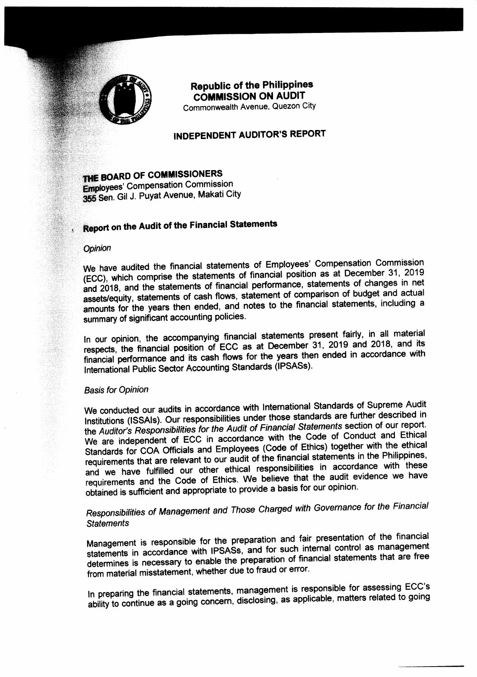

## **Republic of the Philippines COMMISSION ON AUDIT**

Commonwealth Avenue. Quezon City

### **INDEPENDENT AUDITOR'S REPORT**

THE BOARD OF COMMISSIONERS **Employees' Compensation Commission** 355 Sen. Gil J. Puyat Avenue, Makati City

## Report on the Audit of the Financial Statements

#### Opinion

We have audited the financial statements of Employees' Compensation Commission (ECC), which comprise the statements of financial position as at December 31, 2019 and 2018, and the statements of financial performance, statements of changes in net assets/equity, statements of cash flows, statement of comparison of budget and actual amounts for the years then ended, and notes to the financial statements, including a summary of significant accounting policies.

In our opinion, the accompanying financial statements present fairly, in all material respects, the financial position of ECC as at December 31, 2019 and 2018, and its financial performance and its cash flows for the years then ended in accordance with International Public Sector Accounting Standards (IPSASs).

#### **Basis for Opinion**

We conducted our audits in accordance with International Standards of Supreme Audit Institutions (ISSAIs). Our responsibilities under those standards are further described in the Auditor's Responsibilities for the Audit of Financial Statements section of our report. We are independent of ECC in accordance with the Code of Conduct and Ethical Standards for COA Officials and Employees (Code of Ethics) together with the ethical requirements that are relevant to our audit of the financial statements in the Philippines, and we have fulfilled our other ethical responsibilities in accordance with these requirements and the Code of Ethics. We believe that the audit evidence we have obtained is sufficient and appropriate to provide a basis for our opinion.

## Responsibilities of Management and Those Charged with Governance for the Financial **Statements**

Management is responsible for the preparation and fair presentation of the financial statements in accordance with IPSASs, and for such internal control as management determines is necessary to enable the preparation of financial statements that are free from material misstatement, whether due to fraud or error.

In preparing the financial statements, management is responsible for assessing ECC's ability to continue as a going concern, disclosing, as applicable, matters related to going